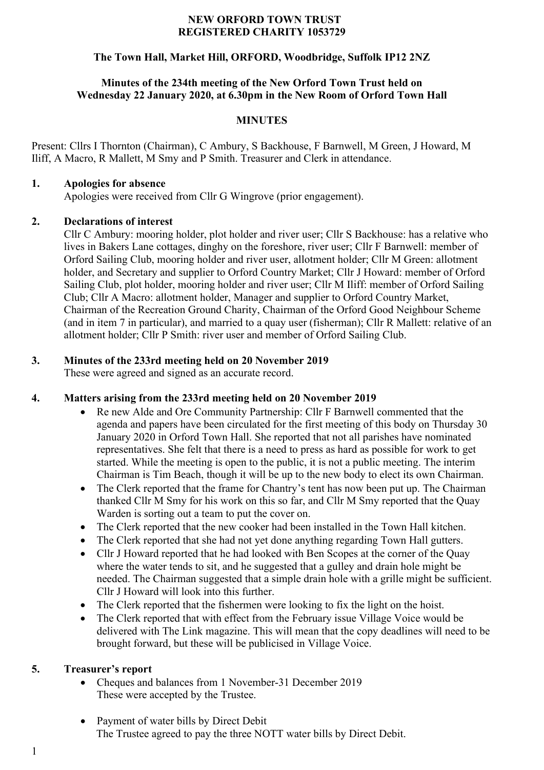#### **NEW ORFORD TOWN TRUST REGISTERED CHARITY 1053729**

# **The Town Hall, Market Hill, ORFORD, Woodbridge, Suffolk IP12 2NZ**

#### **Minutes of the 234th meeting of the New Orford Town Trust held on Wednesday 22 January 2020, at 6.30pm in the New Room of Orford Town Hall**

#### **MINUTES**

Present: Cllrs I Thornton (Chairman), C Ambury, S Backhouse, F Barnwell, M Green, J Howard, M Iliff, A Macro, R Mallett, M Smy and P Smith. Treasurer and Clerk in attendance.

#### **1. Apologies for absence**

Apologies were received from Cllr G Wingrove (prior engagement).

#### **2. Declarations of interest**

Cllr C Ambury: mooring holder, plot holder and river user; Cllr S Backhouse: has a relative who lives in Bakers Lane cottages, dinghy on the foreshore, river user; Cllr F Barnwell: member of Orford Sailing Club, mooring holder and river user, allotment holder; Cllr M Green: allotment holder, and Secretary and supplier to Orford Country Market; Cllr J Howard: member of Orford Sailing Club, plot holder, mooring holder and river user; Cllr M Iliff: member of Orford Sailing Club; Cllr A Macro: allotment holder, Manager and supplier to Orford Country Market, Chairman of the Recreation Ground Charity, Chairman of the Orford Good Neighbour Scheme (and in item 7 in particular), and married to a quay user (fisherman); Cllr R Mallett: relative of an allotment holder; Cllr P Smith: river user and member of Orford Sailing Club.

# **3. Minutes of the 233rd meeting held on 20 November 2019**

These were agreed and signed as an accurate record.

# **4. Matters arising from the 233rd meeting held on 20 November 2019**

- Re new Alde and Ore Community Partnership: Cllr F Barnwell commented that the agenda and papers have been circulated for the first meeting of this body on Thursday 30 January 2020 in Orford Town Hall. She reported that not all parishes have nominated representatives. She felt that there is a need to press as hard as possible for work to get started. While the meeting is open to the public, it is not a public meeting. The interim Chairman is Tim Beach, though it will be up to the new body to elect its own Chairman.
- The Clerk reported that the frame for Chantry's tent has now been put up. The Chairman thanked Cllr M Smy for his work on this so far, and Cllr M Smy reported that the Quay Warden is sorting out a team to put the cover on.
- The Clerk reported that the new cooker had been installed in the Town Hall kitchen.
- The Clerk reported that she had not yet done anything regarding Town Hall gutters.
- Cllr J Howard reported that he had looked with Ben Scopes at the corner of the Quay where the water tends to sit, and he suggested that a gulley and drain hole might be needed. The Chairman suggested that a simple drain hole with a grille might be sufficient. Cllr J Howard will look into this further.
- The Clerk reported that the fishermen were looking to fix the light on the hoist.
- The Clerk reported that with effect from the February issue Village Voice would be delivered with The Link magazine. This will mean that the copy deadlines will need to be brought forward, but these will be publicised in Village Voice.

# **5. Treasurer's report**

- Cheques and balances from 1 November-31 December 2019 These were accepted by the Trustee.
- Payment of water bills by Direct Debit The Trustee agreed to pay the three NOTT water bills by Direct Debit.